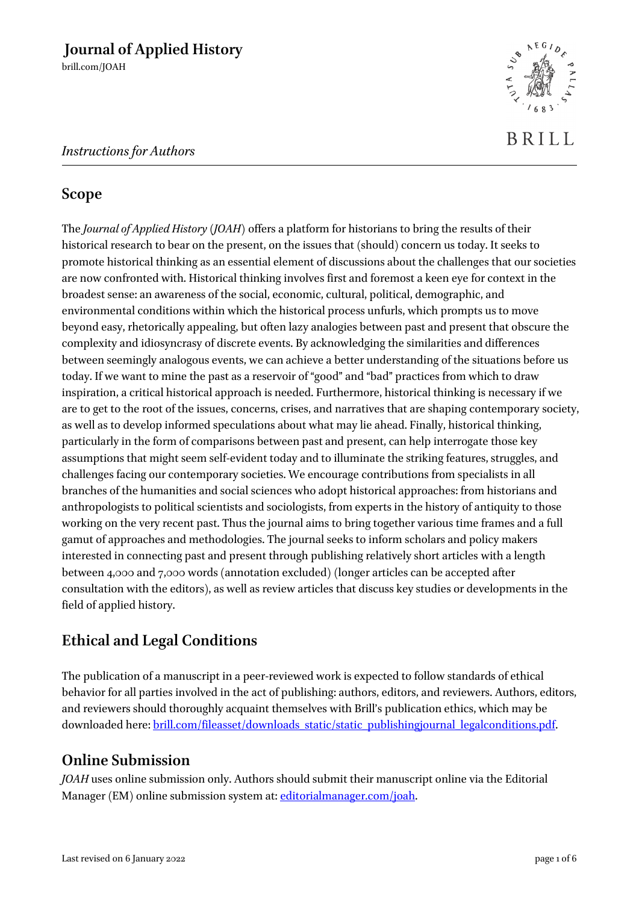## *Instructions for Authors*

## **Scope**

The *Journal of Applied History* (*JOAH*) offers a platform for historians to bring the results of their historical research to bear on the present, on the issues that (should) concern us today. It seeks to promote historical thinking as an essential element of discussions about the challenges that our societies are now confronted with. Historical thinking involves first and foremost a keen eye for context in the broadest sense: an awareness of the social, economic, cultural, political, demographic, and environmental conditions within which the historical process unfurls, which prompts us to move beyond easy, rhetorically appealing, but often lazy analogies between past and present that obscure the complexity and idiosyncrasy of discrete events. By acknowledging the similarities and differences between seemingly analogous events, we can achieve a better understanding of the situations before us today. If we want to mine the past as a reservoir of "good" and "bad" practices from which to draw inspiration, a critical historical approach is needed. Furthermore, historical thinking is necessary if we are to get to the root of the issues, concerns, crises, and narratives that are shaping contemporary society, as well as to develop informed speculations about what may lie ahead. Finally, historical thinking, particularly in the form of comparisons between past and present, can help interrogate those key assumptions that might seem self-evident today and to illuminate the striking features, struggles, and challenges facing our contemporary societies. We encourage contributions from specialists in all branches of the humanities and social sciences who adopt historical approaches: from historians and anthropologists to political scientists and sociologists, from experts in the history of antiquity to those working on the very recent past. Thus the journal aims to bring together various time frames and a full gamut of approaches and methodologies. The journal seeks to inform scholars and policy makers interested in connecting past and present through publishing relatively short articles with a length between 4,000 and 7,000 words (annotation excluded) (longer articles can be accepted after consultation with the editors), as well as review articles that discuss key studies or developments in the field of applied history.

# **Ethical and Legal Conditions**

The publication of a manuscript in a peer-reviewed work is expected to follow standards of ethical behavior for all parties involved in the act of publishing: authors, editors, and reviewers. Authors, editors, and reviewers should thoroughly acquaint themselves with Brill's publication ethics, which may be downloaded here[: brill.com/fileasset/downloads\\_static/static\\_publishingjournal\\_legalconditions.pdf.](https://brill.com/fileasset/downloads_static/static_publishingjournal_legalconditions.pdf)

# **Online Submission**

*JOAH* uses online submission only. Authors should submit their manuscript online via the Editorial Manager (EM) online submission system at: [editorialmanager.com/joah.](http://www.editorialmanager.com/joah)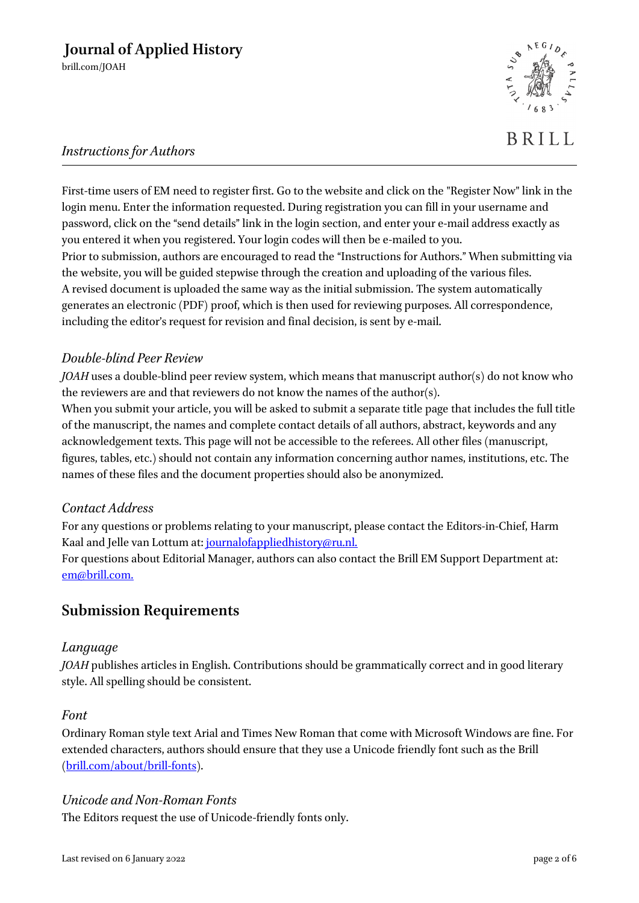

## *Instructions for Authors*

First-time users of EM need to register first. Go to the website and click on the "Register Now" link in the login menu. Enter the information requested. During registration you can fill in your username and password, click on the "send details" link in the login section, and enter your e-mail address exactly as you entered it when you registered. Your login codes will then be e-mailed to you. Prior to submission, authors are encouraged to read the "Instructions for Authors." When submitting via the website, you will be guided stepwise through the creation and uploading of the various files. A revised document is uploaded the same way as the initial submission. The system automatically generates an electronic (PDF) proof, which is then used for reviewing purposes. All correspondence, including the editor's request for revision and final decision, is sent by e-mail.

## *Double-blind Peer Review*

*JOAH* uses a double-blind peer review system, which means that manuscript author(s) do not know who the reviewers are and that reviewers do not know the names of the author(s).

When you submit your article, you will be asked to submit a separate title page that includes the full title of the manuscript, the names and complete contact details of all authors, abstract, keywords and any acknowledgement texts. This page will not be accessible to the referees. All other files (manuscript, figures, tables, etc.) should not contain any information concerning author names, institutions, etc. The names of these files and the document properties should also be anonymized.

## *Contact Address*

For any questions or problems relating to your manuscript, please contact the Editors-in-Chief, Harm Kaal and Jelle van Lottum at: [journalofappliedhistory@ru.nl.](mailto:journalofappliedhistory@ru.nl.)

For questions about Editorial Manager, authors can also contact the Brill EM Support Department at: [em@brill.com.](mailto:mailtoem@brill.com)

## **Submission Requirements**

### *Language*

*JOAH* publishes articles in English. Contributions should be grammatically correct and in good literary style. All spelling should be consistent.

### *Font*

Ordinary Roman style text Arial and Times New Roman that come with Microsoft Windows are fine. For extended characters, authors should ensure that they use a Unicode friendly font such as the Brill [\(brill.com/about/brill-fonts\)](http://www.brill.com/about/brill-fonts).

## *Unicode and Non-Roman Fonts*

The Editors request the use of Unicode-friendly fonts only.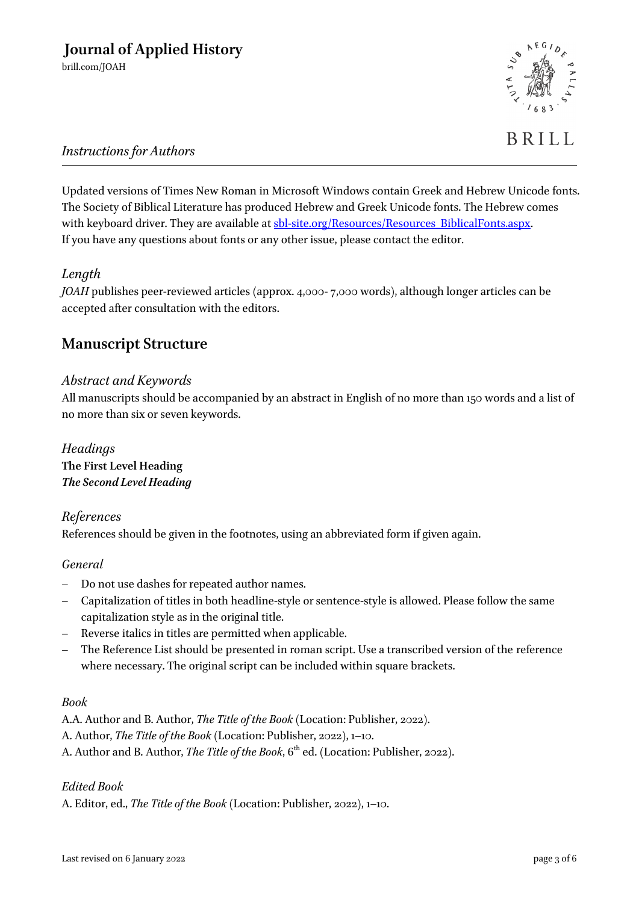

# BRILL

## *Instructions for Authors*

Updated versions of Times New Roman in Microsoft Windows contain Greek and Hebrew Unicode fonts. The Society of Biblical Literature has produced Hebrew and Greek Unicode fonts. The Hebrew comes with keyboard driver. They are available at [sbl-site.org/Resources/Resources\\_BiblicalFonts.aspx.](http://www.sbl-site.org/Resources/Resources_BiblicalFonts.aspx) If you have any questions about fonts or any other issue, please contact the editor.

## *Length*

*JOAH* publishes peer-reviewed articles (approx. 4,000- 7,000 words), although longer articles can be accepted after consultation with the editors.

## **Manuscript Structure**

### *Abstract and Keywords*

All manuscripts should be accompanied by an abstract in English of no more than 150 words and a list of no more than six or seven keywords.

### *Headings* **The First Level Heading** *The Second Level Heading*

## *References* References should be given in the footnotes, using an abbreviated form if given again.

### *General*

- Do not use dashes for repeated author names.
- Capitalization of titles in both headline-style or sentence-style is allowed. Please follow the same capitalization style as in the original title.
- Reverse italics in titles are permitted when applicable.
- The Reference List should be presented in roman script. Use a transcribed version of the reference where necessary. The original script can be included within square brackets.

### *Book*

A.A. Author and B. Author, *The Title of the Book* (Location: Publisher, 2022).

A. Author, *The Title of the Book* (Location: Publisher, 2022), 1–10.

A. Author and B. Author, *The Title of the Book*, 6<sup>th</sup> ed. (Location: Publisher, 2022).

### *Edited Book*

A. Editor, ed., *The Title of the Book* (Location: Publisher, 2022), 1–10.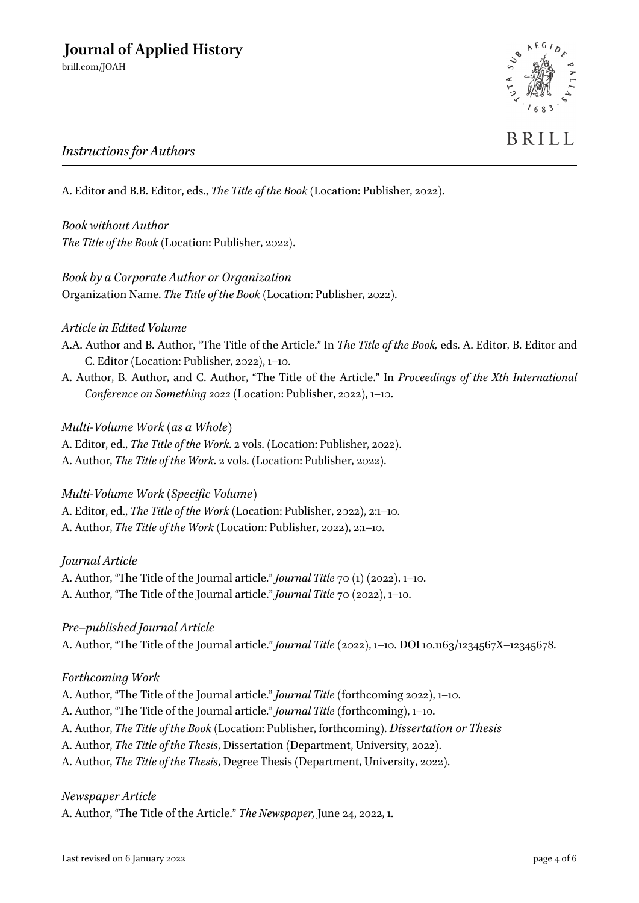

# BRILL

## *Instructions for Authors*

A. Editor and B.B. Editor, eds., *The Title of the Book* (Location: Publisher, 2022).

*Book without Author The Title of the Book* (Location: Publisher, 2022).

*Book by a Corporate Author or Organization* Organization Name. *The Title of the Book* (Location: Publisher, 2022).

## *Article in Edited Volume*

- A.A. Author and B. Author, "The Title of the Article." In *The Title of the Book,* eds. A. Editor, B. Editor and C. Editor (Location: Publisher, 2022), 1–10.
- A. Author, B. Author, and C. Author, "The Title of the Article." In *Proceedings of the Xth International Conference on Something 2022* (Location: Publisher, 2022), 1–10.

*Multi-Volume Work (as a Whole)*

A. Editor, ed., *The Title of the Work*. 2 vols. (Location: Publisher, 2022). A. Author, *The Title of the Work*. 2 vols. (Location: Publisher, 2022).

## *Multi-Volume Work (Specific Volume)*

A. Editor, ed., *The Title of the Work* (Location: Publisher, 2022), 2:1–10. A. Author, *The Title of the Work* (Location: Publisher, 2022), 2:1–10.

### *Journal Article*

A. Author, "The Title of the Journal article." *Journal Title* 70 (1) (2022), 1–10. A. Author, "The Title of the Journal article." *Journal Title* 70 (2022), 1–10.

*Pre–published Journal Article*

A. Author, "The Title of the Journal article." *Journal Title* (2022), 1–10. DOI 10.1163/1234567X–12345678.

### *Forthcoming Work*

A. Author, "The Title of the Journal article." *Journal Title* (forthcoming 2022), 1–10. A. Author, "The Title of the Journal article." *Journal Title* (forthcoming), 1–10. A. Author, *The Title of the Book* (Location: Publisher, forthcoming). *Dissertation or Thesis* A. Author, *The Title of the Thesis*, Dissertation (Department, University, 2022). A. Author, *The Title of the Thesis*, Degree Thesis (Department, University, 2022).

### *Newspaper Article*

A. Author, "The Title of the Article." *The Newspaper,* June 24, 2022, 1.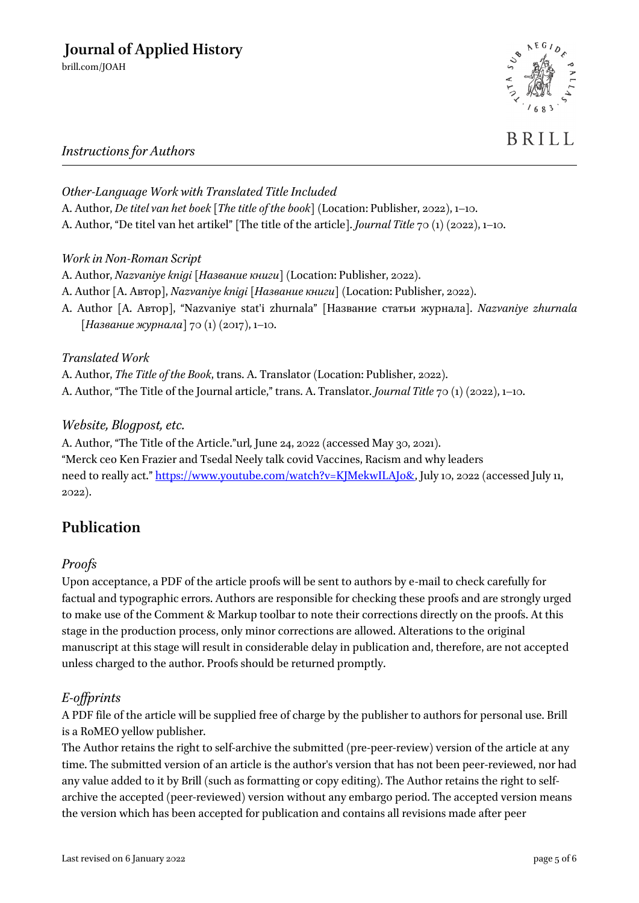

# BRILL

## *Instructions for Authors*

*Other-Language Work with Translated Title Included* A. Author, *De titel van het boek* [*The title of the book*] (Location: Publisher, 2022), 1–10. A. Author, "De titel van het artikel" [The title of the article]. *Journal Title* 70 (1) (2022), 1–10.

## *Work in Non-Roman Script*

- A. Author, *Nazvaniye knigi* [*Название книги*] (Location: Publisher, 2022).
- A. Author [A. Автор], *Nazvaniye knigi* [*Название книги*] (Location: Publisher, 2022).
- A. Author [A. Автор], "Nazvaniye stat'i zhurnala" [Название статьи журнала]. *Nazvaniye zhurnala*  [*Название журнала*] 70 (1) (2017), 1–10.

## *Translated Work*

A. Author, *The Title of the Book*, trans. A. Translator (Location: Publisher, 2022). A. Author, "The Title of the Journal article," trans. A. Translator. *Journal Title* 70 (1) (2022), 1–10.

## *Website, Blogpost, etc.*

A. Author, "The Title of the Article."url*,* June 24, 2022 (accessed May 30, 2021). "Merck ceo Ken Frazier and Tsedal Neely talk covid Vaccines, Racism and why leaders need to really act." https://www.youtube.com/watch?v=KJMekwILAJo&, July 10, 2022 (accessed July 11, 2022).

## **Publication**

## *Proofs*

Upon acceptance, a PDF of the article proofs will be sent to authors by e-mail to check carefully for factual and typographic errors. Authors are responsible for checking these proofs and are strongly urged to make use of the Comment & Markup toolbar to note their corrections directly on the proofs. At this stage in the production process, only minor corrections are allowed. Alterations to the original manuscript at this stage will result in considerable delay in publication and, therefore, are not accepted unless charged to the author. Proofs should be returned promptly.

## *E-offprints*

A PDF file of the article will be supplied free of charge by the publisher to authors for personal use. Brill is a RoMEO yellow publisher.

The Author retains the right to self-archive the submitted (pre-peer-review) version of the article at any time. The submitted version of an article is the author's version that has not been peer-reviewed, nor had any value added to it by Brill (such as formatting or copy editing). The Author retains the right to selfarchive the accepted (peer-reviewed) version without any embargo period. The accepted version means the version which has been accepted for publication and contains all revisions made after peer